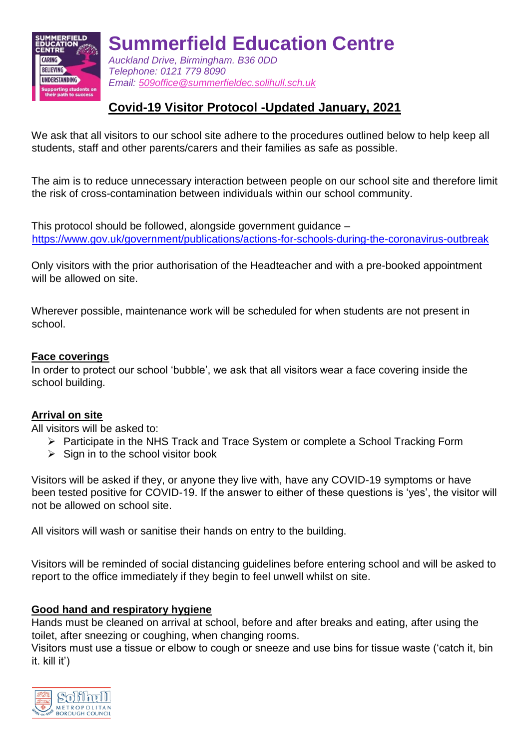

**Summerfield Education Centre**

*Auckland Drive, Birmingham. B36 0DD Telephone: 0121 779 8090 Email: [509office@summerfieldec.solihull.sch.uk](mailto:509office@summerfieldec.solihull.sch.uk)*

# **Covid-19 Visitor Protocol -Updated January, 2021**

We ask that all visitors to our school site adhere to the procedures outlined below to help keep all students, staff and other parents/carers and their families as safe as possible.

The aim is to reduce unnecessary interaction between people on our school site and therefore limit the risk of cross-contamination between individuals within our school community.

This protocol should be followed, alongside government guidance – <https://www.gov.uk/government/publications/actions-for-schools-during-the-coronavirus-outbreak>

Only visitors with the prior authorisation of the Headteacher and with a pre-booked appointment will be allowed on site.

Wherever possible, maintenance work will be scheduled for when students are not present in school.

## **Face coverings**

In order to protect our school 'bubble', we ask that all visitors wear a face covering inside the school building.

# **Arrival on site**

All visitors will be asked to:

- $\triangleright$  Participate in the NHS Track and Trace System or complete a School Tracking Form
- $\triangleright$  Sign in to the school visitor book

Visitors will be asked if they, or anyone they live with, have any COVID-19 symptoms or have been tested positive for COVID-19. If the answer to either of these questions is 'yes', the visitor will not be allowed on school site.

All visitors will wash or sanitise their hands on entry to the building.

Visitors will be reminded of social distancing guidelines before entering school and will be asked to report to the office immediately if they begin to feel unwell whilst on site.

# **Good hand and respiratory hygiene**

Hands must be cleaned on arrival at school, before and after breaks and eating, after using the toilet, after sneezing or coughing, when changing rooms.

Visitors must use a tissue or elbow to cough or sneeze and use bins for tissue waste ('catch it, bin it. kill it')